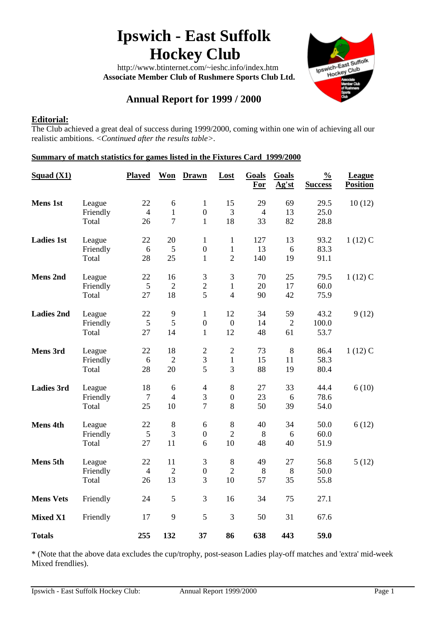# **Ipswich - East Suffolk Hockey Club**

 http://www.btinternet.com/~ieshc.info/index.htm  **Associate Member Club of Rushmere Sports Club Ltd.**



# **Annual Report for 1999 / 2000**

# **Editorial:**

The Club achieved a great deal of success during 1999/2000, coming within one win of achieving all our realistic ambitions. *<Continued after the results table>.*

# **Summary of match statistics for games listed in the Fixtures Card 1999/2000**

| Squad (X1)        |                    | <b>Played</b>        | <b>Won</b>           | <b>Drawn</b>                     | Lost                           | Goals<br>For         | Goals<br>Ag'st | $\frac{0}{0}$<br><b>Success</b> | <b>League</b><br><b>Position</b> |
|-------------------|--------------------|----------------------|----------------------|----------------------------------|--------------------------------|----------------------|----------------|---------------------------------|----------------------------------|
| <b>Mens 1st</b>   | League<br>Friendly | 22<br>$\overline{4}$ | 6<br>$\mathbf{1}$    | $\mathbf{1}$<br>$\boldsymbol{0}$ | 15<br>3                        | 29<br>$\overline{4}$ | 69<br>13       | 29.5<br>25.0                    | 10(12)                           |
|                   | Total              | 26                   | $\overline{7}$       | $\mathbf{1}$                     | 18                             | 33                   | 82             | 28.8                            |                                  |
| <b>Ladies 1st</b> | League             | 22                   | 20                   | 1                                | $\mathbf{1}$                   | 127                  | 13             | 93.2                            | $1(12)$ C                        |
|                   | Friendly<br>Total  | 6<br>28              | 5<br>25              | $\boldsymbol{0}$<br>$\mathbf{1}$ | $\mathbf{1}$<br>$\overline{2}$ | 13<br>140            | 6<br>19        | 83.3<br>91.1                    |                                  |
| <b>Mens 2nd</b>   | League             | 22                   | 16                   | $\mathfrak{Z}$                   | $\mathfrak{Z}$                 | 70                   | 25             | 79.5                            | $1(12)$ C                        |
|                   | Friendly<br>Total  | $\sqrt{5}$<br>27     | $\overline{2}$<br>18 | $\overline{2}$<br>5              | $\mathbf{1}$<br>$\overline{4}$ | 20<br>90             | 17<br>42       | 60.0<br>75.9                    |                                  |
| <b>Ladies 2nd</b> | League             | 22                   | 9                    | $\mathbf{1}$                     | 12                             | 34                   | 59             | 43.2                            | 9(12)                            |
|                   | Friendly           | 5                    | 5                    | $\boldsymbol{0}$                 | $\boldsymbol{0}$               | 14                   | $\overline{2}$ | 100.0                           |                                  |
|                   | Total              | 27                   | 14                   | $\mathbf{1}$                     | 12                             | 48                   | 61             | 53.7                            |                                  |
| <b>Mens 3rd</b>   | League             | 22                   | 18                   | $\overline{2}$                   | $\overline{2}$                 | 73                   | 8              | 86.4                            | $1(12)$ C                        |
|                   | Friendly<br>Total  | 6<br>28              | $\overline{2}$<br>20 | $\overline{3}$<br>5              | $\mathbf{1}$<br>3              | 15<br>88             | 11<br>19       | 58.3<br>80.4                    |                                  |
| <b>Ladies 3rd</b> | League             | 18                   | $\sqrt{6}$           | $\overline{4}$                   | $8\,$                          | 27                   | 33             | 44.4                            | 6(10)                            |
|                   | Friendly           | $\overline{7}$       | $\overline{4}$       | 3                                | $\boldsymbol{0}$               | 23                   | 6              | 78.6                            |                                  |
|                   | Total              | 25                   | 10                   | $\overline{7}$                   | $8\,$                          | 50                   | 39             | 54.0                            |                                  |
| <b>Mens 4th</b>   | League             | 22                   | 8                    | 6                                | $\,8\,$                        | 40                   | 34             | 50.0                            | 6(12)                            |
|                   | Friendly<br>Total  | 5<br>27              | 3<br>11              | $\boldsymbol{0}$<br>6            | $\overline{2}$<br>10           | 8<br>48              | 6<br>40        | 60.0<br>51.9                    |                                  |
| Mens 5th          | League             | 22                   | 11                   | 3                                | $8\,$                          | 49                   | 27             | 56.8                            | 5(12)                            |
|                   | Friendly           | $\overline{4}$       | $\overline{2}$       | $\boldsymbol{0}$                 | $\overline{2}$                 | 8                    | 8              | 50.0                            |                                  |
|                   | Total              | 26                   | 13                   | 3                                | 10                             | 57                   | 35             | 55.8                            |                                  |
| <b>Mens Vets</b>  | Friendly           | 24                   | 5                    | 3                                | 16                             | 34                   | 75             | 27.1                            |                                  |
| <b>Mixed X1</b>   | Friendly           | 17                   | 9                    | 5                                | 3                              | 50                   | 31             | 67.6                            |                                  |
| <b>Totals</b>     |                    | 255                  | 132                  | 37                               | 86                             | 638                  | 443            | 59.0                            |                                  |

\* (Note that the above data excludes the cup/trophy, post-season Ladies play-off matches and 'extra' mid-week Mixed frendlies).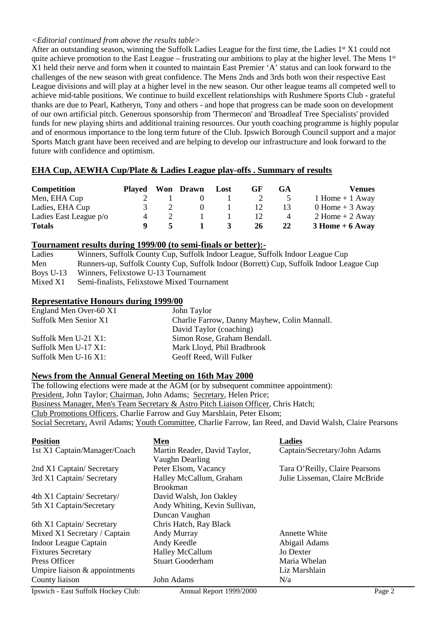#### *<Editorial continued from above the results table>*

After an outstanding season, winning the Suffolk Ladies League for the first time, the Ladies  $1<sup>st</sup> X1$  could not quite achieve promotion to the East League – frustrating our ambitions to play at the higher level. The Mens 1st X1 held their nerve and form when it counted to maintain East Premier 'A' status and can look forward to the challenges of the new season with great confidence. The Mens 2nds and 3rds both won their respective East League divisions and will play at a higher level in the new season. Our other league teams all competed well to achieve mid-table positions. We continue to build excellent relationships with Rushmere Sports Club - grateful thanks are due to Pearl, Katheryn, Tony and others - and hope that progress can be made soon on development of our own artificial pitch. Generous sponsorship from 'Thermecon' and 'Broadleaf Tree Specialists' provided funds for new playing shirts and additional training resources. Our youth coaching programme is highly popular and of enormous importance to the long term future of the Club. Ipswich Borough Council support and a major Sports Match grant have been received and are helping to develop our infrastructure and look forward to the future with confidence and optimism.

# **EHA Cup, AEWHA Cup/Plate & Ladies League play-offs . Summary of results**

| Competition            |   | Played Won Drawn Lost | GF | GA             | <b>Venues</b>       |
|------------------------|---|-----------------------|----|----------------|---------------------|
| Men, EHA Cup           |   |                       |    |                | $1$ Home $+$ 1 Away |
| Ladies, EHA Cup        |   |                       |    | 13             | $0$ Home + 3 Away   |
| Ladies East League p/o | 4 |                       |    | $\overline{4}$ | $2$ Home + 2 Away   |
| <b>Totals</b>          |   |                       | 26 | 22             | $3$ Home + 6 Away   |

# **Tournament results during 1999/00 (to semi-finals or better):-**<br>Ladies Winners, Suffolk County Cup, Suffolk Indoor League, Supplement

Winners, Suffolk County Cup, Suffolk Indoor League, Suffolk Indoor League Cup Men Runners-up, Suffolk County Cup, Suffolk Indoor (Borrett) Cup, Suffolk Indoor League Cup Boys U-13 Winners, Felixstowe U-13 Tournament Mixed X1 Semi-finalists, Felixstowe Mixed Tournament

#### **Representative Honours during 1999/00**

| John Taylor                                  |
|----------------------------------------------|
| Charlie Farrow, Danny Mayhew, Colin Mannall. |
| David Taylor (coaching)                      |
| Simon Rose, Graham Bendall.                  |
| Mark Lloyd, Phil Bradbrook                   |
| Geoff Reed, Will Fulker                      |
|                                              |

# **News from the Annual General Meeting on 16th May 2000**

The following elections were made at the AGM (or by subsequent committee appointment): President, John Taylor; Chairman, John Adams; Secretary, Helen Price; Business Manager, Men's Team Secretary & Astro Pitch Liaison Officer, Chris Hatch; Club Promotions Officers, Charlie Farrow and Guy Marshlain, Peter Elsom; Social Secretary, Avril Adams; Youth Committee, Charlie Farrow, Ian Reed, and David Walsh, Claire Pearsons

| <b>Position</b>                 | Men                           | <b>Ladies</b>                  |  |  |  |  |
|---------------------------------|-------------------------------|--------------------------------|--|--|--|--|
| 1st X1 Captain/Manager/Coach    | Martin Reader, David Taylor,  | Captain/Secretary/John Adams   |  |  |  |  |
|                                 | Vaughn Dearling               |                                |  |  |  |  |
| 2nd X1 Captain/ Secretary       | Peter Elsom, Vacancy          | Tara O'Reilly, Claire Pearsons |  |  |  |  |
| 3rd X1 Captain/Secretary        | Halley McCallum, Graham       | Julie Lisseman, Claire McBride |  |  |  |  |
|                                 | <b>Brookman</b>               |                                |  |  |  |  |
| 4th X1 Captain/ Secretary/      | David Walsh, Jon Oakley       |                                |  |  |  |  |
| 5th X1 Captain/Secretary        | Andy Whiting, Kevin Sullivan, |                                |  |  |  |  |
|                                 | Duncan Vaughan                |                                |  |  |  |  |
| 6th X1 Captain/ Secretary       | Chris Hatch, Ray Black        |                                |  |  |  |  |
| Mixed X1 Secretary / Captain    | Andy Murray                   | <b>Annette White</b>           |  |  |  |  |
| Indoor League Captain           | Andy Keedle                   | Abigail Adams                  |  |  |  |  |
| <b>Fixtures Secretary</b>       | <b>Halley McCallum</b>        | Jo Dexter                      |  |  |  |  |
| Press Officer                   | <b>Stuart Gooderham</b>       | Maria Whelan                   |  |  |  |  |
| Umpire liaison $&$ appointments |                               | Liz Marshlain                  |  |  |  |  |
| County liaison                  | John Adams                    | N/a                            |  |  |  |  |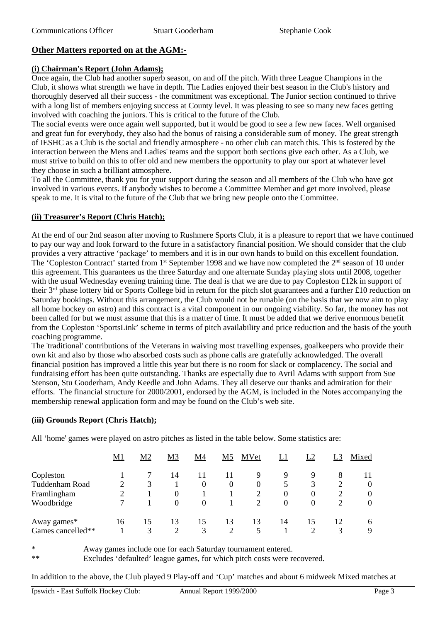# **Other Matters reported on at the AGM:-**

# **(i) Chairman's Report (John Adams);**

Once again, the Club had another superb season, on and off the pitch. With three League Champions in the Club, it shows what strength we have in depth. The Ladies enjoyed their best season in the Club's history and thoroughly deserved all their success - the commitment was exceptional. The Junior section continued to thrive with a long list of members enjoying success at County level. It was pleasing to see so many new faces getting involved with coaching the juniors. This is critical to the future of the Club.

The social events were once again well supported, but it would be good to see a few new faces. Well organised and great fun for everybody, they also had the bonus of raising a considerable sum of money. The great strength of IESHC as a Club is the social and friendly atmosphere - no other club can match this. This is fostered by the interaction between the Mens and Ladies' teams and the support both sections give each other. As a Club, we must strive to build on this to offer old and new members the opportunity to play our sport at whatever level they choose in such a brilliant atmosphere.

To all the Committee, thank you for your support during the season and all members of the Club who have got involved in various events. If anybody wishes to become a Committee Member and get more involved, please speak to me. It is vital to the future of the Club that we bring new people onto the Committee.

# **(ii) Treasurer's Report (Chris Hatch);**

At the end of our 2nd season after moving to Rushmere Sports Club, it is a pleasure to report that we have continued to pay our way and look forward to the future in a satisfactory financial position. We should consider that the club provides a very attractive 'package' to members and it is in our own hands to build on this excellent foundation. The 'Copleston Contract' started from 1<sup>st</sup> September 1998 and we have now completed the 2<sup>nd</sup> season of 10 under this agreement. This guarantees us the three Saturday and one alternate Sunday playing slots until 2008, together with the usual Wednesday evening training time. The deal is that we are due to pay Copleston £12k in support of their 3rd phase lottery bid or Sports College bid in return for the pitch slot guarantees and a further £10 reduction on Saturday bookings. Without this arrangement, the Club would not be runable (on the basis that we now aim to play all home hockey on astro) and this contract is a vital component in our ongoing viability. So far, the money has not been called for but we must assume that this is a matter of time. It must be added that we derive enormous benefit from the Copleston 'SportsLink' scheme in terms of pitch availability and price reduction and the basis of the youth coaching programme.

The 'traditional' contributions of the Veterans in waiving most travelling expenses, goalkeepers who provide their own kit and also by those who absorbed costs such as phone calls are gratefully acknowledged. The overall financial position has improved a little this year but there is no room for slack or complacency. The social and fundraising effort has been quite outstanding. Thanks are especially due to Avril Adams with support from Sue Stenson, Stu Gooderham, Andy Keedle and John Adams. They all deserve our thanks and admiration for their efforts. The financial structure for 2000/2001, endorsed by the AGM, is included in the Notes accompanying the membership renewal application form and may be found on the Club's web site.

# **(iii) Grounds Report (Chris Hatch);**

All 'home' games were played on astro pitches as listed in the table below. Some statistics are:

|                       | M1 | M <sub>2</sub> | M <sub>3</sub> | M4       | M5       | <b>MVet</b> | L1       | L2       |    | Mixed          |
|-----------------------|----|----------------|----------------|----------|----------|-------------|----------|----------|----|----------------|
| Copleston             |    |                | 14             |          |          | 9           |          |          | 8  | 11             |
| <b>Tuddenham Road</b> |    | 3              |                | $\Omega$ | $\theta$ | $\Omega$    |          |          |    | $\Omega$       |
| Framlingham           |    |                | $^{(1)}$       |          |          | 2           | $\theta$ | $\theta$ |    | $\theta$       |
| Woodbridge            |    |                | $\Omega$       | $\Omega$ |          |             | $\theta$ | $\Omega$ |    | $\overline{0}$ |
| Away games*           | 16 | 15             | 13             | 15       | 13       | 13          | 14       | 15       | 12 | 6              |
| Games cancelled**     |    | 3              | 2              | 3        |          |             |          |          |    | 9              |

\* Away games include one for each Saturday tournament entered.<br>\*\* Excludes 'defeulted' league games, for which pitch costs were re-

Excludes 'defaulted' league games, for which pitch costs were recovered.

In addition to the above, the Club played 9 Play-off and 'Cup' matches and about 6 midweek Mixed matches at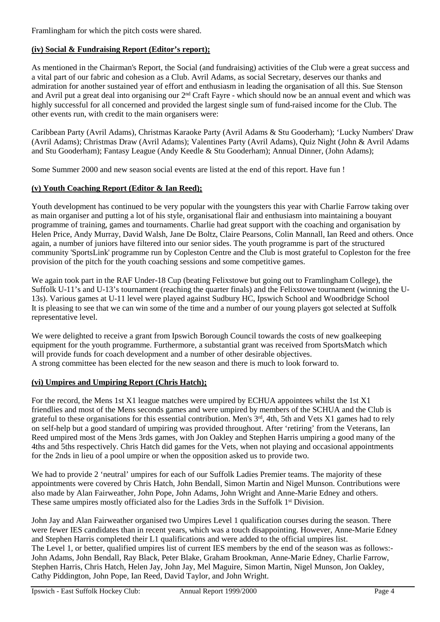Framlingham for which the pitch costs were shared.

#### **(iv) Social & Fundraising Report (Editor's report);**

As mentioned in the Chairman's Report, the Social (and fundraising) activities of the Club were a great success and a vital part of our fabric and cohesion as a Club. Avril Adams, as social Secretary, deserves our thanks and admiration for another sustained year of effort and enthusiasm in leading the organisation of all this. Sue Stenson and Avril put a great deal into organising our 2<sup>nd</sup> Craft Fayre - which should now be an annual event and which was highly successful for all concerned and provided the largest single sum of fund-raised income for the Club. The other events run, with credit to the main organisers were:

Caribbean Party (Avril Adams), Christmas Karaoke Party (Avril Adams & Stu Gooderham); 'Lucky Numbers' Draw (Avril Adams); Christmas Draw (Avril Adams); Valentines Party (Avril Adams), Quiz Night (John & Avril Adams and Stu Gooderham); Fantasy League (Andy Keedle & Stu Gooderham); Annual Dinner, (John Adams);

Some Summer 2000 and new season social events are listed at the end of this report. Have fun !

#### **(v) Youth Coaching Report (Editor & Ian Reed);**

Youth development has continued to be very popular with the youngsters this year with Charlie Farrow taking over as main organiser and putting a lot of his style, organisational flair and enthusiasm into maintaining a bouyant programme of training, games and tournaments. Charlie had great support with the coaching and organisation by Helen Price, Andy Murray, David Walsh, Jane De Boltz, Claire Pearsons, Colin Mannall, Ian Reed and others. Once again, a number of juniors have filtered into our senior sides. The youth programme is part of the structured community 'SportsLink' programme run by Copleston Centre and the Club is most grateful to Copleston for the free provision of the pitch for the youth coaching sessions and some competitive games.

We again took part in the RAF Under-18 Cup (beating Felixstowe but going out to Framlingham College), the Suffolk U-11's and U-13's tournament (reaching the quarter finals) and the Felixstowe tournament (winning the U-13s). Various games at U-11 level were played against Sudbury HC, Ipswich School and Woodbridge School It is pleasing to see that we can win some of the time and a number of our young players got selected at Suffolk representative level.

We were delighted to receive a grant from Ipswich Borough Council towards the costs of new goalkeeping equipment for the youth programme. Furthermore, a substantial grant was received from SportsMatch which will provide funds for coach development and a number of other desirable objectives. A strong committee has been elected for the new season and there is much to look forward to.

#### **(vi) Umpires and Umpiring Report (Chris Hatch);**

For the record, the Mens 1st X1 league matches were umpired by ECHUA appointees whilst the 1st X1 friendlies and most of the Mens seconds games and were umpired by members of the SCHUA and the Club is grateful to these organisations for this essential contribution. Men's 3rd, 4th, 5th and Vets X1 games had to rely on self-help but a good standard of umpiring was provided throughout. After 'retiring' from the Veterans, Ian Reed umpired most of the Mens 3rds games, with Jon Oakley and Stephen Harris umpiring a good many of the 4ths and 5ths respectively. Chris Hatch did games for the Vets, when not playing and occasional appointments for the 2nds in lieu of a pool umpire or when the opposition asked us to provide two.

We had to provide 2 'neutral' umpires for each of our Suffolk Ladies Premier teams. The majority of these appointments were covered by Chris Hatch, John Bendall, Simon Martin and Nigel Munson. Contributions were also made by Alan Fairweather, John Pope, John Adams, John Wright and Anne-Marie Edney and others. These same umpires mostly officiated also for the Ladies 3rds in the Suffolk 1<sup>st</sup> Division.

John Jay and Alan Fairweather organised two Umpires Level 1 qualification courses during the season. There were fewer IES candidates than in recent years, which was a touch disappointing. However, Anne-Marie Edney and Stephen Harris completed their L1 qualifications and were added to the official umpires list. The Level 1, or better, qualified umpires list of current IES members by the end of the season was as follows:- John Adams, John Bendall, Ray Black, Peter Blake, Graham Brookman, Anne-Marie Edney, Charlie Farrow, Stephen Harris, Chris Hatch, Helen Jay, John Jay, Mel Maguire, Simon Martin, Nigel Munson, Jon Oakley, Cathy Piddington, John Pope, Ian Reed, David Taylor, and John Wright.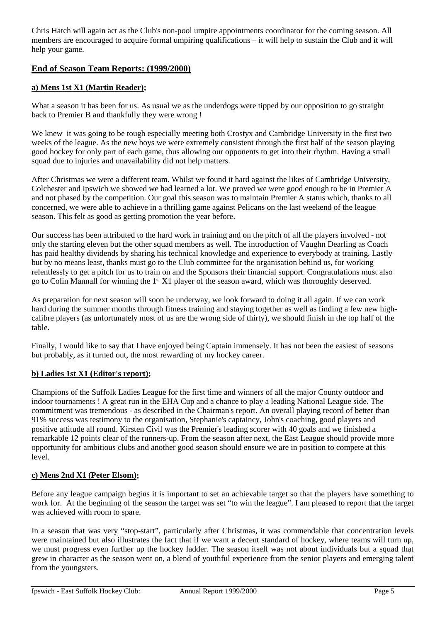Chris Hatch will again act as the Club's non-pool umpire appointments coordinator for the coming season. All members are encouraged to acquire formal umpiring qualifications – it will help to sustain the Club and it will help your game.

# **End of Season Team Reports: (1999/2000)**

#### **a) Mens 1st X1 (Martin Reader);**

What a season it has been for us. As usual we as the underdogs were tipped by our opposition to go straight back to Premier B and thankfully they were wrong !

We knew it was going to be tough especially meeting both Crostyx and Cambridge University in the first two weeks of the league. As the new boys we were extremely consistent through the first half of the season playing good hockey for only part of each game, thus allowing our opponents to get into their rhythm. Having a small squad due to injuries and unavailability did not help matters.

After Christmas we were a different team. Whilst we found it hard against the likes of Cambridge University, Colchester and Ipswich we showed we had learned a lot. We proved we were good enough to be in Premier A and not phased by the competition. Our goal this season was to maintain Premier A status which, thanks to all concerned, we were able to achieve in a thrilling game against Pelicans on the last weekend of the league season. This felt as good as getting promotion the year before.

Our success has been attributed to the hard work in training and on the pitch of all the players involved - not only the starting eleven but the other squad members as well. The introduction of Vaughn Dearling as Coach has paid healthy dividends by sharing his technical knowledge and experience to everybody at training. Lastly but by no means least, thanks must go to the Club committee for the organisation behind us, for working relentlessly to get a pitch for us to train on and the Sponsors their financial support. Congratulations must also go to Colin Mannall for winning the 1st X1 player of the season award, which was thoroughly deserved.

As preparation for next season will soon be underway, we look forward to doing it all again. If we can work hard during the summer months through fitness training and staying together as well as finding a few new highcalibre players (as unfortunately most of us are the wrong side of thirty), we should finish in the top half of the table.

Finally, I would like to say that I have enjoyed being Captain immensely. It has not been the easiest of seasons but probably, as it turned out, the most rewarding of my hockey career.

#### **b) Ladies 1st X1 (Editor's report);**

Champions of the Suffolk Ladies League for the first time and winners of all the major County outdoor and indoor tournaments ! A great run in the EHA Cup and a chance to play a leading National League side. The commitment was tremendous - as described in the Chairman's report. An overall playing record of better than 91% success was testimony to the organisation, Stephanie's captaincy, John's coaching, good players and positive attitude all round. Kirsten Civil was the Premier's leading scorer with 40 goals and we finished a remarkable 12 points clear of the runners-up. From the season after next, the East League should provide more opportunity for ambitious clubs and another good season should ensure we are in position to compete at this level.

#### **c) Mens 2nd X1 (Peter Elsom);**

Before any league campaign begins it is important to set an achievable target so that the players have something to work for. At the beginning of the season the target was set "to win the league". I am pleased to report that the target was achieved with room to spare.

In a season that was very "stop-start", particularly after Christmas, it was commendable that concentration levels were maintained but also illustrates the fact that if we want a decent standard of hockey, where teams will turn up, we must progress even further up the hockey ladder. The season itself was not about individuals but a squad that grew in character as the season went on, a blend of youthful experience from the senior players and emerging talent from the youngsters.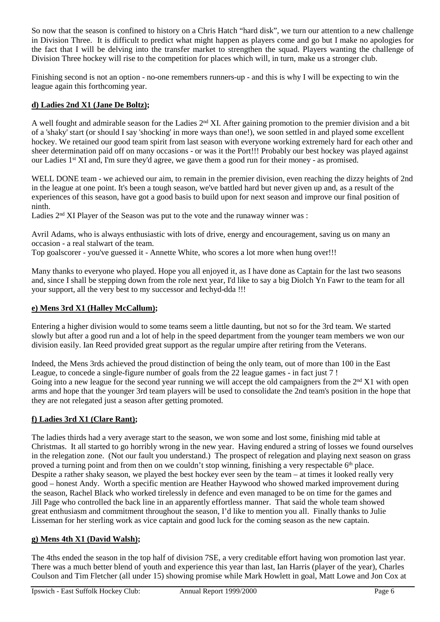So now that the season is confined to history on a Chris Hatch "hard disk", we turn our attention to a new challenge in Division Three. It is difficult to predict what might happen as players come and go but I make no apologies for the fact that I will be delving into the transfer market to strengthen the squad. Players wanting the challenge of Division Three hockey will rise to the competition for places which will, in turn, make us a stronger club.

Finishing second is not an option - no-one remembers runners-up - and this is why I will be expecting to win the league again this forthcoming year.

# **d) Ladies 2nd X1 (Jane De Boltz);**

A well fought and admirable season for the Ladies 2nd XI. After gaining promotion to the premier division and a bit of a 'shaky' start (or should I say 'shocking' in more ways than one!), we soon settled in and played some excellent hockey. We retained our good team spirit from last season with everyone working extremely hard for each other and sheer determination paid off on many occasions - or was it the Port!!! Probably our best hockey was played against our Ladies 1st XI and, I'm sure they'd agree, we gave them a good run for their money - as promised.

WELL DONE team - we achieved our aim, to remain in the premier division, even reaching the dizzy heights of 2nd in the league at one point. It's been a tough season, we've battled hard but never given up and, as a result of the experiences of this season, have got a good basis to build upon for next season and improve our final position of ninth.

Ladies  $2<sup>nd</sup> XI$  Player of the Season was put to the vote and the runaway winner was :

Avril Adams, who is always enthusiastic with lots of drive, energy and encouragement, saving us on many an occasion - a real stalwart of the team.

Top goalscorer - you've guessed it - Annette White, who scores a lot more when hung over!!!

Many thanks to everyone who played. Hope you all enjoyed it, as I have done as Captain for the last two seasons and, since I shall be stepping down from the role next year, I'd like to say a big Diolch Yn Fawr to the team for all your support, all the very best to my successor and Iechyd-dda !!!

# **e) Mens 3rd X1 (Halley McCallum);**

Entering a higher division would to some teams seem a little daunting, but not so for the 3rd team. We started slowly but after a good run and a lot of help in the speed department from the younger team members we won our division easily. Ian Reed provided great support as the regular umpire after retiring from the Veterans.

Indeed, the Mens 3rds achieved the proud distinction of being the only team, out of more than 100 in the East League, to concede a single-figure number of goals from the 22 league games - in fact just 7 ! Going into a new league for the second year running we will accept the old campaigners from the  $2<sup>nd</sup> X1$  with open arms and hope that the younger 3rd team players will be used to consolidate the 2nd team's position in the hope that they are not relegated just a season after getting promoted.

# **f) Ladies 3rd X1 (Clare Rant);**

The ladies thirds had a very average start to the season, we won some and lost some, finishing mid table at Christmas. It all started to go horribly wrong in the new year. Having endured a string of losses we found ourselves in the relegation zone. (Not our fault you understand.) The prospect of relegation and playing next season on grass proved a turning point and from then on we couldn't stop winning, finishing a very respectable 6<sup>th</sup> place. Despite a rather shaky season, we played the best hockey ever seen by the team – at times it looked really very good – honest Andy. Worth a specific mention are Heather Haywood who showed marked improvement during the season, Rachel Black who worked tirelessly in defence and even managed to be on time for the games and Jill Page who controlled the back line in an apparently effortless manner. That said the whole team showed great enthusiasm and commitment throughout the season, I'd like to mention you all. Finally thanks to Julie Lisseman for her sterling work as vice captain and good luck for the coming season as the new captain.

# **g) Mens 4th X1 (David Walsh);**

The 4ths ended the season in the top half of division 7SE, a very creditable effort having won promotion last year. There was a much better blend of youth and experience this year than last, Ian Harris (player of the year), Charles Coulson and Tim Fletcher (all under 15) showing promise while Mark Howlett in goal, Matt Lowe and Jon Cox at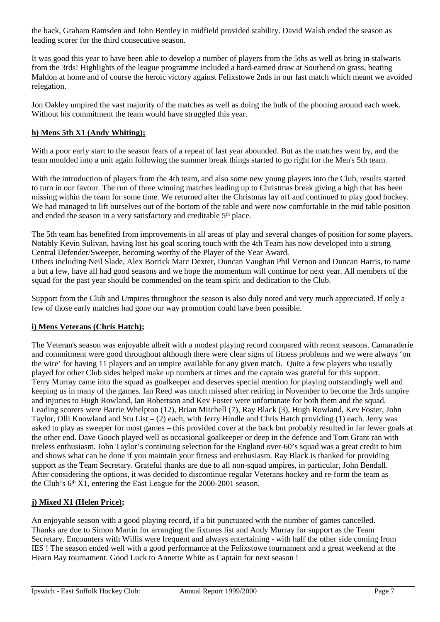the back, Graham Ramsden and John Bentley in midfield provided stability. David Walsh ended the season as leading scorer for the third consecutive season.

It was good this year to have been able to develop a number of players from the 5ths as well as bring in stalwarts from the 3rds! Highlights of the league programme included a hard-earned draw at Southend on grass, beating Maldon at home and of course the heroic victory against Felixstowe 2nds in our last match which meant we avoided relegation.

Jon Oakley umpired the vast majority of the matches as well as doing the bulk of the phoning around each week. Without his commitment the team would have struggled this year.

# **h) Mens 5th X1 (Andy Whiting);**

With a poor early start to the season fears of a repeat of last year abounded. But as the matches went by, and the team moulded into a unit again following the summer break things started to go right for the Men's 5th team.

With the introduction of players from the 4th team, and also some new young players into the Club, results started to turn in our favour. The run of three winning matches leading up to Christmas break giving a high that has been missing within the team for some time. We returned after the Christmas lay off and continued to play good hockey. We had managed to lift ourselves out of the bottom of the table and were now comfortable in the mid table position and ended the season in a very satisfactory and creditable 5<sup>th</sup> place.

The 5th team has benefited from improvements in all areas of play and several changes of position for some players. Notably Kevin Sulivan, having lost his goal scoring touch with the 4th Team has now developed into a strong Central Defender/Sweeper, becoming worthy of the Player of the Year Award.

Others including Neil Slade, Alex Borrick Marc Dexter, Duncan Vaughan Phil Vernon and Duncan Harris, to name a but a few, have all had good seasons and we hope the momentum will continue for next year. All members of the squad for the past year should be commended on the team spirit and dedication to the Club.

Support from the Club and Umpires throughout the season is also duly noted and very much appreciated. If only a few of those early matches had gone our way promotion could have been possible.

# **i) Mens Veterans (Chris Hatch);**

The Veteran's season was enjoyable albeit with a modest playing record compared with recent seasons. Camaraderie and commitment were good throughout although there were clear signs of fitness problems and we were always 'on the wire' for having 11 players and an umpire available for any given match. Quite a few players who usually played for other Club sides helped make up numbers at times and the captain was grateful for this support. Terry Murray came into the squad as goalkeeper and deserves special mention for playing outstandingly well and keeping us in many of the games. Ian Reed was much missed after retiring in November to become the 3rds umpire and injuries to Hugh Rowland, Ian Robertson and Kev Foster were unfortunate for both them and the squad. Leading scorers were Barrie Whelpton (12), Brian Mitchell (7), Ray Black (3), Hugh Rowland, Kev Foster, John Taylor, Olli Knowland and Stu List – (2) each, with Jerry Hindle and Chris Hatch providing (1) each. Jerry was asked to play as sweeper for most games – this provided cover at the back but probably resulted in far fewer goals at the other end. Dave Gooch played well as occasional goalkeeper or deep in the defence and Tom Grant ran with tireless enthusiasm. John Taylor's continuing selection for the England over-60's squad was a great credit to him and shows what can be done if you maintain your fitness and enthusiasm. Ray Black is thanked for providing support as the Team Secretary. Grateful thanks are due to all non-squad umpires, in particular, John Bendall. After considering the options, it was decided to discontinue regular Veterans hockey and re-form the team as the Club's  $6<sup>th</sup> X1$ , entering the East League for the 2000-2001 season.

# **j) Mixed X1 (Helen Price);**

An enjoyable season with a good playing record, if a bit punctuated with the number of games cancelled. Thanks are due to Simon Martin for arranging the fixtures list and Andy Murray for support as the Team Secretary. Encounters with Willis were frequent and always entertaining - with half the other side coming from IES ! The season ended well with a good performance at the Felixstowe tournament and a great weekend at the Hearn Bay tournament. Good Luck to Annette White as Captain for next season !